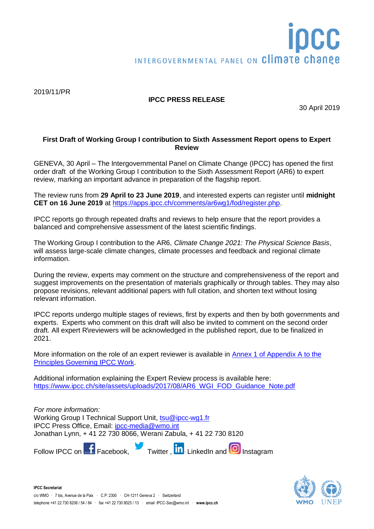# INTERGOVERNMENTAL PANEL ON Climate change

2019/11/PR

# **IPCC PRESS RELEASE**

30 April 2019

## **First Draft of Working Group I contribution to Sixth Assessment Report opens to Expert Review**

GENEVA, 30 April – The Intergovernmental Panel on Climate Change (IPCC) has opened the first order draft of the Working Group I contribution to the Sixth Assessment Report (AR6) to expert review, marking an important advance in preparation of the flagship report.

The review runs from **29 April to 23 June 2019**, and interested experts can register until **midnight CET on 16 June 2019** at [https://apps.ipcc.ch/comments/ar6wg1/fod/register.php.](https://apps.ipcc.ch/comments/ar6wg1/fod/register.php)

IPCC reports go through repeated drafts and reviews to help ensure that the report provides a balanced and comprehensive assessment of the latest scientific findings.

The Working Group I contribution to the AR6, *Climate Change 2021: The Physical Science Basis*, will assess large-scale climate changes, climate processes and feedback and regional climate information.

During the review, experts may comment on the structure and comprehensiveness of the report and suggest improvements on the presentation of materials graphically or through tables. They may also propose revisions, relevant additional papers with full citation, and shorten text without losing relevant information.

IPCC reports undergo multiple stages of reviews, first by experts and then by both governments and experts. Experts who comment on this draft will also be invited to comment on the second order draft. All expert R\reviewers will be acknowledged in the published report, due to be finalized in 2021.

More information on the role of an expert reviewer is available in [Annex 1 of Appendix A to the](https://www.ipcc.ch/site/assets/uploads/2018/09/ipcc-principles-appendix-a-final.pdf)  [Principles Governing IPCC Work.](https://www.ipcc.ch/site/assets/uploads/2018/09/ipcc-principles-appendix-a-final.pdf)

Additional information explaining the Expert Review process is available here: [https://www.ipcc.ch/site/assets/uploads/2017/08/AR6\\_WGI\\_FOD\\_Guidance\\_Note.pdf](https://www.ipcc.ch/site/assets/uploads/2017/08/AR6_WGI_FOD_Guidance_Note.pdf)

*For more information:*  Working Group I Technical Support Unit, [tsu@ipcc-wg1.fr](mailto:tsu@ipcc-wg1.fr) IPCC Press Office, Email: [ipcc-media@wmo.int](mailto:ipcc-media@wmo.int) Jonathan Lynn, + 41 22 730 8066, Werani Zabula, + 41 22 730 8120

FollowIPCC on F Facebook, Twitter, **in** LinkedIn and **O** Instagram



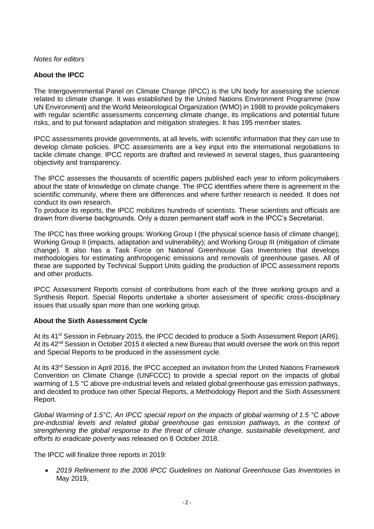*Notes for editors*

# **About the IPCC**

The Intergovernmental Panel on Climate Change (IPCC) is the UN body for assessing the science related to climate change. It was established by the United Nations Environment Programme (now UN Environment) and the World Meteorological Organization (WMO) in 1988 to provide policymakers with regular scientific assessments concerning climate change, its implications and potential future risks, and to put forward adaptation and mitigation strategies. It has 195 member states.

IPCC assessments provide governments, at all levels, with scientific information that they can use to develop climate policies. IPCC assessments are a key input into the international negotiations to tackle climate change. IPCC reports are drafted and reviewed in several stages, thus guaranteeing objectivity and transparency.

The IPCC assesses the thousands of scientific papers published each year to inform policymakers about the state of knowledge on climate change. The IPCC identifies where there is agreement in the scientific community, where there are differences and where further research is needed. It does not conduct its own research.

To produce its reports, the IPCC mobilizes hundreds of scientists. These scientists and officials are drawn from diverse backgrounds. Only a dozen permanent staff work in the IPCC's Secretariat.

The IPCC has three working groups: Working Group I (the physical science basis of climate change); Working Group II (impacts, adaptation and vulnerability); and Working Group III (mitigation of climate change). It also has a Task Force on National Greenhouse Gas Inventories that develops methodologies for estimating anthropogenic emissions and removals of greenhouse gases. All of these are supported by Technical Support Units guiding the production of IPCC assessment reports and other products.

IPCC Assessment Reports consist of contributions from each of the three working groups and a Synthesis Report. Special Reports undertake a shorter assessment of specific cross-disciplinary issues that usually span more than one working group.

### **About the Sixth Assessment Cycle**

At its 41<sup>st</sup> Session in February 2015, the IPCC decided to produce a Sixth Assessment Report (AR6). At its 42<sup>nd</sup> Session in October 2015 it elected a new Bureau that would oversee the work on this report and Special Reports to be produced in the assessment cycle.

At its 43<sup>rd</sup> Session in April 2016, the IPCC accepted an invitation from the United Nations Framework Convention on Climate Change (UNFCCC) to provide a special report on the impacts of global warming of 1.5 °C above pre-industrial levels and related global greenhouse gas emission pathways, and decided to produce two other Special Reports, a Methodology Report and the Sixth Assessment Report.

*Global Warming of 1.5°C, An IPCC special report on the impacts of global warming of 1.5 °C above pre-industrial levels and related global greenhouse gas emission pathways, in the context of strengthening the global response to the threat of climate change, sustainable development, and efforts to eradicate poverty* was released on 8 October 2018.

The IPCC will finalize three reports in 2019:

 *2019 Refinement to the 2006 IPCC Guidelines on National Greenhouse Gas Inventories* in May 2019,